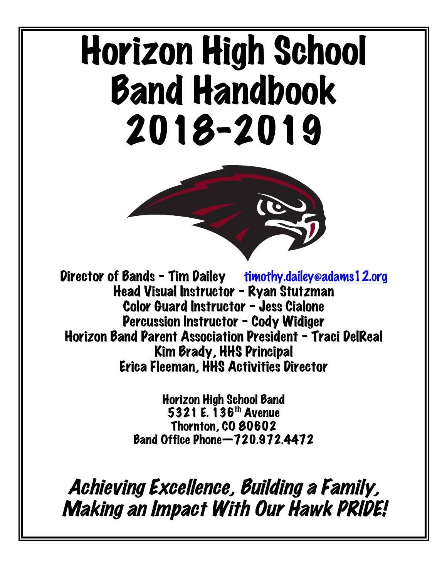# Horizon High School Band Handbook 2018-2019



Director of Bands - Tim Dailey timothy.dailey@adams12.org Head Visual Instructor – Ryan Stutzman Color Guard Instructor – Jess Cialone Percussion Instructor – Cody Widiger Horizon Band Parent Association President – Traci DelReal Kim Brady, HHS Principal Erica Fleeman, HHS Activities Director

> Horizon High School Band 5321 E. 136th Avenue Thornton, CO 80602 Band Office Phone—720.972.4472

Achieving Excellence, Building a Family, Making an Impact With Our Hawk PRIDE!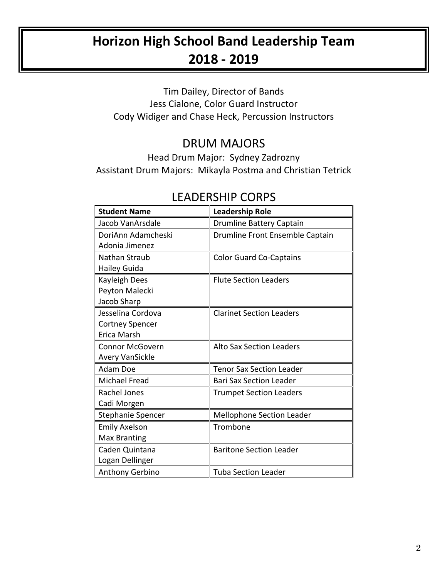# **Horizon High School Band Leadership Team 2018 - 2019**

Tim Dailey, Director of Bands Jess Cialone, Color Guard Instructor Cody Widiger and Chase Heck, Percussion Instructors

## DRUM MAJORS

Head Drum Major: Sydney Zadrozny Assistant Drum Majors: Mikayla Postma and Christian Tetrick

## LEADERSHIP CORPS

| <b>Student Name</b>    | <b>Leadership Role</b>           |
|------------------------|----------------------------------|
| Jacob VanArsdale       | <b>Drumline Battery Captain</b>  |
| DoriAnn Adamcheski     | Drumline Front Ensemble Captain  |
| Adonia Jimenez         |                                  |
| Nathan Straub          | <b>Color Guard Co-Captains</b>   |
| Hailey Guida           |                                  |
| <b>Kayleigh Dees</b>   | <b>Flute Section Leaders</b>     |
| Peyton Malecki         |                                  |
| Jacob Sharp            |                                  |
| Jesselina Cordova      | <b>Clarinet Section Leaders</b>  |
| <b>Cortney Spencer</b> |                                  |
| Erica Marsh            |                                  |
| <b>Connor McGovern</b> | <b>Alto Sax Section Leaders</b>  |
| <b>Avery VanSickle</b> |                                  |
| Adam Doe               | <b>Tenor Sax Section Leader</b>  |
| <b>Michael Fread</b>   | <b>Bari Sax Section Leader</b>   |
| Rachel Jones           | <b>Trumpet Section Leaders</b>   |
| Cadi Morgen            |                                  |
| Stephanie Spencer      | <b>Mellophone Section Leader</b> |
| <b>Emily Axelson</b>   | Trombone                         |
| <b>Max Branting</b>    |                                  |
| Caden Quintana         | <b>Baritone Section Leader</b>   |
| Logan Dellinger        |                                  |
| <b>Anthony Gerbino</b> | <b>Tuba Section Leader</b>       |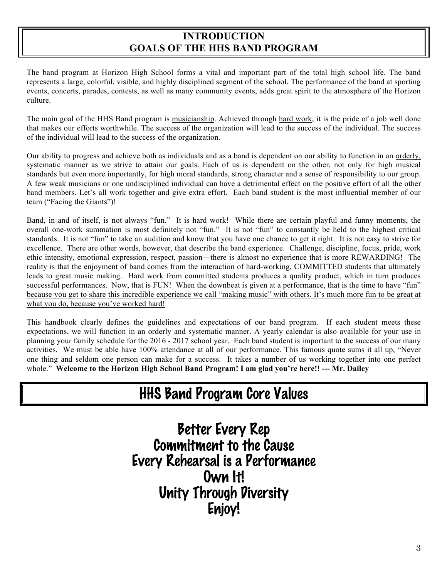## **INTRODUCTION GOALS OF THE HHS BAND PROGRAM**

The band program at Horizon High School forms a vital and important part of the total high school life. The band represents a large, colorful, visible, and highly disciplined segment of the school. The performance of the band at sporting events, concerts, parades, contests, as well as many community events, adds great spirit to the atmosphere of the Horizon culture.

The main goal of the HHS Band program is musicianship. Achieved through hard work, it is the pride of a job well done that makes our efforts worthwhile. The success of the organization will lead to the success of the individual. The success of the individual will lead to the success of the organization.

Our ability to progress and achieve both as individuals and as a band is dependent on our ability to function in an orderly, systematic manner as we strive to attain our goals. Each of us is dependent on the other, not only for high musical standards but even more importantly, for high moral standards, strong character and a sense of responsibility to our group. A few weak musicians or one undisciplined individual can have a detrimental effect on the positive effort of all the other band members. Let's all work together and give extra effort. Each band student is the most influential member of our team ("Facing the Giants")!

Band, in and of itself, is not always "fun." It is hard work! While there are certain playful and funny moments, the overall one-work summation is most definitely not "fun." It is not "fun" to constantly be held to the highest critical standards. It is not "fun" to take an audition and know that you have one chance to get it right. It is not easy to strive for excellence. There are other words, however, that describe the band experience. Challenge, discipline, focus, pride, work ethic intensity, emotional expression, respect, passion—there is almost no experience that is more REWARDING! The reality is that the enjoyment of band comes from the interaction of hard-working, COMMITTED students that ultimately leads to great music making. Hard work from committed students produces a quality product, which in turn produces successful performances. Now, that is FUN! When the downbeat is given at a performance, that is the time to have "fun" because you get to share this incredible experience we call "making music" with others. It's much more fun to be great at what you do, because you've worked hard!

This handbook clearly defines the guidelines and expectations of our band program. If each student meets these expectations, we will function in an orderly and systematic manner. A yearly calendar is also available for your use in planning your family schedule for the 2016 - 2017 school year. Each band student is important to the success of our many activities. We must be able have 100% attendance at all of our performance. This famous quote sums it all up, "Never one thing and seldom one person can make for a success. It takes a number of us working together into one perfect whole." **Welcome to the Horizon High School Band Program! I am glad you're here!! --- Mr. Dailey**

# HHS Band Program Core Values

Better Every Rep Commitment to the Cause Every Rehearsal is a Performance Own It! Unity Through Diversity Enjoy!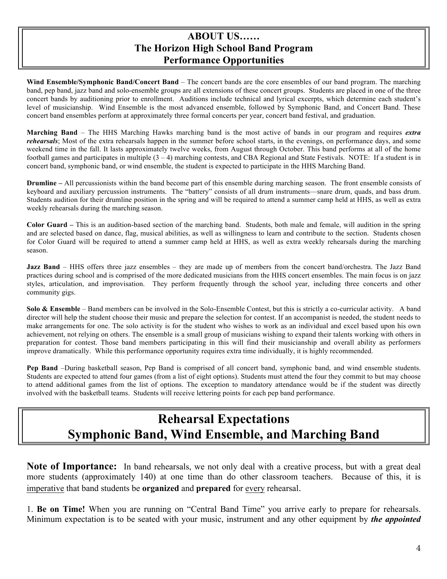#### **ABOUT US…… The Horizon High School Band Program Performance Opportunities**

**Wind Ensemble/Symphonic Band/Concert Band** – The concert bands are the core ensembles of our band program. The marching band, pep band, jazz band and solo-ensemble groups are all extensions of these concert groups. Students are placed in one of the three concert bands by auditioning prior to enrollment. Auditions include technical and lyrical excerpts, which determine each student's level of musicianship. Wind Ensemble is the most advanced ensemble, followed by Symphonic Band, and Concert Band. These concert band ensembles perform at approximately three formal concerts per year, concert band festival, and graduation.

**Marching Band** – The HHS Marching Hawks marching band is the most active of bands in our program and requires *extra rehearsals*; Most of the extra rehearsals happen in the summer before school starts, in the evenings, on performance days, and some weekend time in the fall. It lasts approximately twelve weeks, from August through October. This band performs at all of the home football games and participates in multiple (3 – 4) marching contests, and CBA Regional and State Festivals. NOTE: If a student is in concert band, symphonic band, or wind ensemble, the student is expected to participate in the HHS Marching Band.

**Drumline** – All percussionists within the band become part of this ensemble during marching season. The front ensemble consists of keyboard and auxiliary percussion instruments. The "battery" consists of all drum instruments—snare drum, quads, and bass drum. Students audition for their drumline position in the spring and will be required to attend a summer camp held at HHS, as well as extra weekly rehearsals during the marching season.

**Color Guard –** This is an audition-based section of the marching band. Students, both male and female, will audition in the spring and are selected based on dance, flag, musical abilities, as well as willingness to learn and contribute to the section. Students chosen for Color Guard will be required to attend a summer camp held at HHS, as well as extra weekly rehearsals during the marching season.

**Jazz Band** – HHS offers three jazz ensembles – they are made up of members from the concert band/orchestra. The Jazz Band practices during school and is comprised of the more dedicated musicians from the HHS concert ensembles. The main focus is on jazz styles, articulation, and improvisation. They perform frequently through the school year, including three concerts and other community gigs.

**Solo & Ensemble** – Band members can be involved in the Solo-Ensemble Contest, but this is strictly a co-curricular activity. A band director will help the student choose their music and prepare the selection for contest. If an accompanist is needed, the student needs to make arrangements for one. The solo activity is for the student who wishes to work as an individual and excel based upon his own achievement, not relying on others. The ensemble is a small group of musicians wishing to expand their talents working with others in preparation for contest. Those band members participating in this will find their musicianship and overall ability as performers improve dramatically. While this performance opportunity requires extra time individually, it is highly recommended.

**Pep Band** –During basketball season, Pep Band is comprised of all concert band, symphonic band, and wind ensemble students. Students are expected to attend four games (from a list of eight options). Students must attend the four they commit to but may choose to attend additional games from the list of options. The exception to mandatory attendance would be if the student was directly involved with the basketball teams. Students will receive lettering points for each pep band performance.

## **Rehearsal Expectations Symphonic Band, Wind Ensemble, and Marching Band**

Note of Importance: In band rehearsals, we not only deal with a creative process, but with a great deal more students (approximately 140) at one time than do other classroom teachers. Because of this, it is imperative that band students be **organized** and **prepared** for every rehearsal.

1. **Be on Time!** When you are running on "Central Band Time" you arrive early to prepare for rehearsals. Minimum expectation is to be seated with your music, instrument and any other equipment by *the appointed*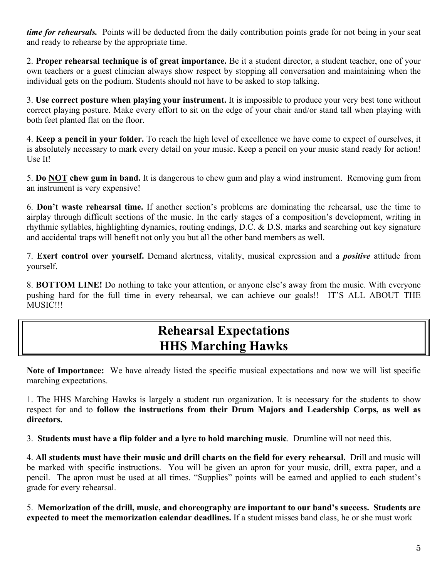*time for rehearsals.* Points will be deducted from the daily contribution points grade for not being in your seat and ready to rehearse by the appropriate time.

2. **Proper rehearsal technique is of great importance.** Be it a student director, a student teacher, one of your own teachers or a guest clinician always show respect by stopping all conversation and maintaining when the individual gets on the podium. Students should not have to be asked to stop talking.

3. **Use correct posture when playing your instrument.** It is impossible to produce your very best tone without correct playing posture. Make every effort to sit on the edge of your chair and/or stand tall when playing with both feet planted flat on the floor.

4. **Keep a pencil in your folder.** To reach the high level of excellence we have come to expect of ourselves, it is absolutely necessary to mark every detail on your music. Keep a pencil on your music stand ready for action! Use It!

5. **Do NOT chew gum in band.** It is dangerous to chew gum and play a wind instrument. Removing gum from an instrument is very expensive!

6. **Don't waste rehearsal time.** If another section's problems are dominating the rehearsal, use the time to airplay through difficult sections of the music. In the early stages of a composition's development, writing in rhythmic syllables, highlighting dynamics, routing endings, D.C.  $\&$  D.S. marks and searching out key signature and accidental traps will benefit not only you but all the other band members as well.

7. **Exert control over yourself.** Demand alertness, vitality, musical expression and a *positive* attitude from yourself.

8. **BOTTOM LINE!** Do nothing to take your attention, or anyone else's away from the music. With everyone pushing hard for the full time in every rehearsal, we can achieve our goals!! IT'S ALL ABOUT THE MUSIC!!!

## **Rehearsal Expectations HHS Marching Hawks**

**Note of Importance:** We have already listed the specific musical expectations and now we will list specific marching expectations.

1. The HHS Marching Hawks is largely a student run organization. It is necessary for the students to show respect for and to **follow the instructions from their Drum Majors and Leadership Corps, as well as directors.**

3. **Students must have a flip folder and a lyre to hold marching music**. Drumline will not need this.

4. **All students must have their music and drill charts on the field for every rehearsal.** Drill and music will be marked with specific instructions. You will be given an apron for your music, drill, extra paper, and a pencil. The apron must be used at all times. "Supplies" points will be earned and applied to each student's grade for every rehearsal.

5. **Memorization of the drill, music, and choreography are important to our band's success. Students are expected to meet the memorization calendar deadlines.** If a student misses band class, he or she must work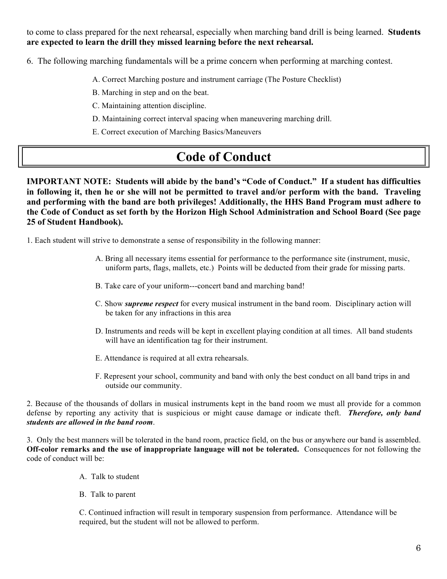to come to class prepared for the next rehearsal, especially when marching band drill is being learned. **Students are expected to learn the drill they missed learning before the next rehearsal.** 

6. The following marching fundamentals will be a prime concern when performing at marching contest.

- A. Correct Marching posture and instrument carriage (The Posture Checklist)
- B. Marching in step and on the beat.
- C. Maintaining attention discipline.
- D. Maintaining correct interval spacing when maneuvering marching drill.
- E. Correct execution of Marching Basics/Maneuvers

# **Code of Conduct**

**IMPORTANT NOTE: Students will abide by the band's "Code of Conduct." If a student has difficulties in following it, then he or she will not be permitted to travel and/or perform with the band. Traveling and performing with the band are both privileges! Additionally, the HHS Band Program must adhere to the Code of Conduct as set forth by the Horizon High School Administration and School Board (See page 25 of Student Handbook).** 

1. Each student will strive to demonstrate a sense of responsibility in the following manner:

- A. Bring all necessary items essential for performance to the performance site (instrument, music, uniform parts, flags, mallets, etc.) Points will be deducted from their grade for missing parts.
- B. Take care of your uniform---concert band and marching band!
- C. Show *supreme respect* for every musical instrument in the band room. Disciplinary action will be taken for any infractions in this area
- D. Instruments and reeds will be kept in excellent playing condition at all times. All band students will have an identification tag for their instrument.
- E. Attendance is required at all extra rehearsals.
- F. Represent your school, community and band with only the best conduct on all band trips in and outside our community.

2. Because of the thousands of dollars in musical instruments kept in the band room we must all provide for a common defense by reporting any activity that is suspicious or might cause damage or indicate theft. *Therefore, only band students are allowed in the band room*.

3. Only the best manners will be tolerated in the band room, practice field, on the bus or anywhere our band is assembled. **Off-color remarks and the use of inappropriate language will not be tolerated.** Consequences for not following the code of conduct will be:

- A. Talk to student
- B. Talk to parent

C. Continued infraction will result in temporary suspension from performance. Attendance will be required, but the student will not be allowed to perform.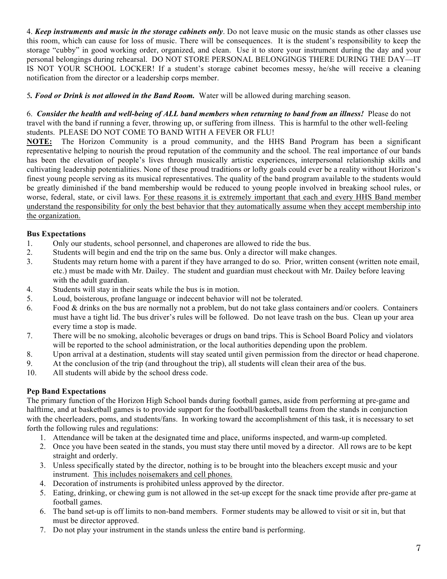4. *Keep instruments and music in the storage cabinets only*. Do not leave music on the music stands as other classes use this room, which can cause for loss of music. There will be consequences. It is the student's responsibility to keep the storage "cubby" in good working order, organized, and clean. Use it to store your instrument during the day and your personal belongings during rehearsal. DO NOT STORE PERSONAL BELONGINGS THERE DURING THE DAY—IT IS NOT YOUR SCHOOL LOCKER! If a student's storage cabinet becomes messy, he/she will receive a cleaning notification from the director or a leadership corps member.

5*. Food or Drink is not allowed in the Band Room.* Water will be allowed during marching season.

6. *Consider the health and well-being of ALL band members when returning to band from an illness!* Please do not travel with the band if running a fever, throwing up, or suffering from illness. This is harmful to the other well-feeling students. PLEASE DO NOT COME TO BAND WITH A FEVER OR FLU!

**NOTE:** The Horizon Community is a proud community, and the HHS Band Program has been a significant representative helping to nourish the proud reputation of the community and the school. The real importance of our bands has been the elevation of people's lives through musically artistic experiences, interpersonal relationship skills and cultivating leadership potentialities. None of these proud traditions or lofty goals could ever be a reality without Horizon's finest young people serving as its musical representatives. The quality of the band program available to the students would be greatly diminished if the band membership would be reduced to young people involved in breaking school rules, or worse, federal, state, or civil laws. For these reasons it is extremely important that each and every HHS Band member understand the responsibility for only the best behavior that they automatically assume when they accept membership into the organization.

#### **Bus Expectations**

- 1. Only our students, school personnel, and chaperones are allowed to ride the bus.
- 2. Students will begin and end the trip on the same bus. Only a director will make changes.
- 3. Students may return home with a parent if they have arranged to do so. Prior, written consent (written note email, etc.) must be made with Mr. Dailey. The student and guardian must checkout with Mr. Dailey before leaving with the adult guardian.
- 4. Students will stay in their seats while the bus is in motion.
- 5. Loud, boisterous, profane language or indecent behavior will not be tolerated.
- 6. Food  $&$  drinks on the bus are normally not a problem, but do not take glass containers and/or coolers. Containers must have a tight lid. The bus driver's rules will be followed. Do not leave trash on the bus. Clean up your area every time a stop is made.
- 7. There will be no smoking, alcoholic beverages or drugs on band trips. This is School Board Policy and violators will be reported to the school administration, or the local authorities depending upon the problem.
- 8. Upon arrival at a destination, students will stay seated until given permission from the director or head chaperone.
- 9. At the conclusion of the trip (and throughout the trip), all students will clean their area of the bus.
- 10. All students will abide by the school dress code.

#### **Pep Band Expectations**

The primary function of the Horizon High School bands during football games, aside from performing at pre-game and halftime, and at basketball games is to provide support for the football/basketball teams from the stands in conjunction with the cheerleaders, poms, and students/fans. In working toward the accomplishment of this task, it is necessary to set forth the following rules and regulations:

- 1. Attendance will be taken at the designated time and place, uniforms inspected, and warm-up completed.
- 2. Once you have been seated in the stands, you must stay there until moved by a director. All rows are to be kept straight and orderly.
- 3. Unless specifically stated by the director, nothing is to be brought into the bleachers except music and your instrument. This includes noisemakers and cell phones.
- 4. Decoration of instruments is prohibited unless approved by the director.
- 5. Eating, drinking, or chewing gum is not allowed in the set-up except for the snack time provide after pre-game at football games.
- 6. The band set-up is off limits to non-band members. Former students may be allowed to visit or sit in, but that must be director approved.
- 7. Do not play your instrument in the stands unless the entire band is performing.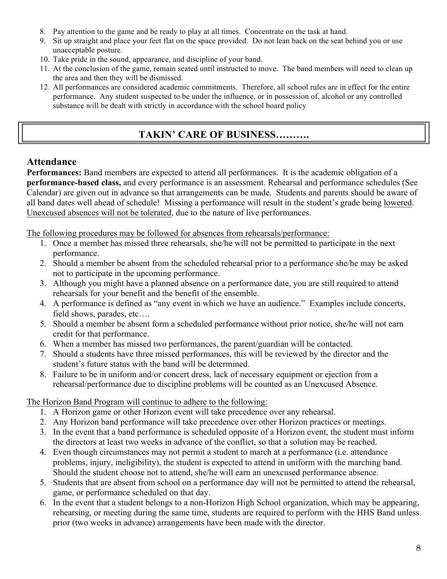- 8. Pay attention to the game and be ready to play at all times. Concentrate on the task at hand.
- 9. Sit up straight and place your feet flat on the space provided. Do not lean back on the seat behind you or use unacceptable posture.
- 10. Take pride in the sound, appearance, and discipline of your band.
- 11. At the conclusion of the game, remain seated until instructed to move. The band members will need to clean up the area and then they will be dismissed.
- 12. All performances are considered academic commitments. Therefore, all school rules are in effect for the entire performance. Any student suspected to be under the influence, or in possession of, alcohol or any controlled substance will be dealt with strictly in accordance with the school board policy

## **TAKIN' CARE OF BUSINESS……….**

#### **Attendance**

**Performances:** Band members are expected to attend all performances. It is the academic obligation of a **performance-based class,** and every performance is an assessment. Rehearsal and performance schedules (See Calendar) are given out in advance so that arrangements can be made. Students and parents should be aware of all band dates well ahead of schedule! Missing a performance will result in the student's grade being lowered. Unexcused absences will not be tolerated, due to the nature of live performances.

The following procedures may be followed for absences from rehearsals/performance:

- 1. Once a member has missed three rehearsals, she/he will not be permitted to participate in the next performance.
- 2. Should a member be absent from the scheduled rehearsal prior to a performance she/he may be asked not to participate in the upcoming performance.
- 3. Although you might have a planned absence on a performance date, you are still required to attend rehearsals for your benefit and the benefit of the ensemble.
- 4. A performance is defined as "any event in which we have an audience." Examples include concerts, field shows, parades, etc….
- 5. Should a member be absent form a scheduled performance without prior notice, she/he will not earn credit for that performance.
- 6. When a member has missed two performances, the parent/guardian will be contacted.
- 7. Should a students have three missed performances, this will be reviewed by the director and the student's future status with the band will be determined.
- 8. Failure to be in uniform and/or concert dress, lack of necessary equipment or ejection from a rehearsal/performance due to discipline problems will be counted as an Unexcused Absence.

The Horizon Band Program will continue to adhere to the following:

- 1. A Horizon game or other Horizon event will take precedence over any rehearsal.
- 2. Any Horizon band performance will take precedence over other Horizon practices or meetings.
- 3. In the event that a band performance is scheduled opposite of a Horizon event, the student must inform the directors at least two weeks in advance of the conflict, so that a solution may be reached.
- 4. Even though circumstances may not permit a student to march at a performance (i.e. attendance problems, injury, ineligibility), the student is expected to attend in uniform with the marching band. Should the student choose not to attend, she/he will earn an unexcused performance absence.
- 5. Students that are absent from school on a performance day will not be permitted to attend the rehearsal, game, or performance scheduled on that day.
- 6. In the event that a student belongs to a non-Horizon High School organization, which may be appearing, rehearsing, or meeting during the same time, students are required to perform with the HHS Band unless prior (two weeks in advance) arrangements have been made with the director.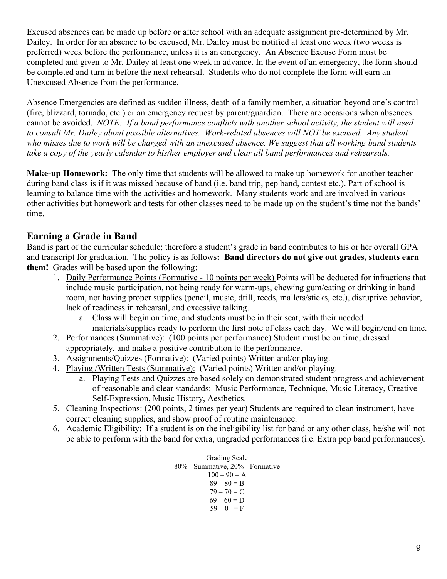Excused absences can be made up before or after school with an adequate assignment pre-determined by Mr. Dailey. In order for an absence to be excused, Mr. Dailey must be notified at least one week (two weeks is preferred) week before the performance, unless it is an emergency. An Absence Excuse Form must be completed and given to Mr. Dailey at least one week in advance. In the event of an emergency, the form should be completed and turn in before the next rehearsal. Students who do not complete the form will earn an Unexcused Absence from the performance.

Absence Emergencies are defined as sudden illness, death of a family member, a situation beyond one's control (fire, blizzard, tornado, etc.) or an emergency request by parent/guardian. There are occasions when absences cannot be avoided. *NOTE: If a band performance conflicts with another school activity, the student will need to consult Mr. Dailey about possible alternatives. Work-related absences will NOT be excused. Any student who misses due to work will be charged with an unexcused absence. We suggest that all working band students take a copy of the yearly calendar to his/her employer and clear all band performances and rehearsals.* 

**Make-up Homework:** The only time that students will be allowed to make up homework for another teacher during band class is if it was missed because of band (i.e. band trip, pep band, contest etc.). Part of school is learning to balance time with the activities and homework. Many students work and are involved in various other activities but homework and tests for other classes need to be made up on the student's time not the bands' time.

## **Earning a Grade in Band**

Band is part of the curricular schedule; therefore a student's grade in band contributes to his or her overall GPA and transcript for graduation. The policy is as follows**: Band directors do not give out grades, students earn them!** Grades will be based upon the following:

- 1. Daily Performance Points (Formative 10 points per week) Points will be deducted for infractions that include music participation, not being ready for warm-ups, chewing gum/eating or drinking in band room, not having proper supplies (pencil, music, drill, reeds, mallets/sticks, etc.), disruptive behavior, lack of readiness in rehearsal, and excessive talking.
	- a. Class will begin on time, and students must be in their seat, with their needed materials/supplies ready to perform the first note of class each day. We will begin/end on time.
- 2. Performances (Summative): (100 points per performance) Student must be on time, dressed appropriately, and make a positive contribution to the performance.
- 3. Assignments/Quizzes (Formative): (Varied points) Written and/or playing.
- 4. Playing /Written Tests (Summative): (Varied points) Written and/or playing.
	- a. Playing Tests and Quizzes are based solely on demonstrated student progress and achievement of reasonable and clear standards: Music Performance, Technique, Music Literacy, Creative Self-Expression, Music History, Aesthetics.
- 5. Cleaning Inspections: (200 points, 2 times per year) Students are required to clean instrument, have correct cleaning supplies, and show proof of routine maintenance.
- 6. Academic Eligibility: If a student is on the ineligibility list for band or any other class, he/she will not be able to perform with the band for extra, ungraded performances (i.e. Extra pep band performances).

Grading Scale 80% - Summative, 20% - Formative  $100 - 90 = A$  $89 - 80 = B$  $79 - 70 = C$  $69 - 60 = D$  $59 - 0 = F$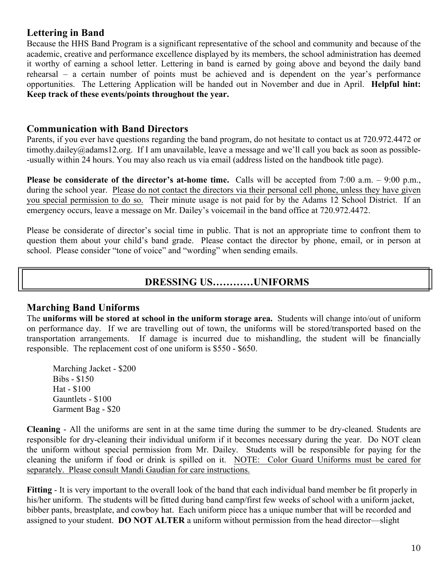#### **Lettering in Band**

Because the HHS Band Program is a significant representative of the school and community and because of the academic, creative and performance excellence displayed by its members, the school administration has deemed it worthy of earning a school letter. Lettering in band is earned by going above and beyond the daily band rehearsal – a certain number of points must be achieved and is dependent on the year's performance opportunities. The Lettering Application will be handed out in November and due in April. **Helpful hint: Keep track of these events/points throughout the year.**

#### **Communication with Band Directors**

Parents, if you ever have questions regarding the band program, do not hesitate to contact us at 720.972.4472 or timothy.dailey@adams12.org. If I am unavailable, leave a message and we'll call you back as soon as possible- -usually within 24 hours. You may also reach us via email (address listed on the handbook title page).

**Please be considerate of the director's at-home time.** Calls will be accepted from 7:00 a.m. – 9:00 p.m., during the school year. Please do not contact the directors via their personal cell phone, unless they have given you special permission to do so. Their minute usage is not paid for by the Adams 12 School District. If an emergency occurs, leave a message on Mr. Dailey's voicemail in the band office at 720.972.4472.

Please be considerate of director's social time in public. That is not an appropriate time to confront them to question them about your child's band grade. Please contact the director by phone, email, or in person at school. Please consider "tone of voice" and "wording" when sending emails.

#### **DRESSING US…………UNIFORMS**

#### **Marching Band Uniforms**

The **uniforms will be stored at school in the uniform storage area.** Students will change into/out of uniform on performance day. If we are travelling out of town, the uniforms will be stored/transported based on the transportation arrangements. If damage is incurred due to mishandling, the student will be financially responsible. The replacement cost of one uniform is \$550 - \$650.

Marching Jacket - \$200 Bibs - \$150 Hat - \$100 Gauntlets - \$100 Garment Bag - \$20

**Cleaning** - All the uniforms are sent in at the same time during the summer to be dry-cleaned. Students are responsible for dry-cleaning their individual uniform if it becomes necessary during the year. Do NOT clean the uniform without special permission from Mr. Dailey. Students will be responsible for paying for the cleaning the uniform if food or drink is spilled on it. NOTE: Color Guard Uniforms must be cared for separately. Please consult Mandi Gaudian for care instructions.

**Fitting** - It is very important to the overall look of the band that each individual band member be fit properly in his/her uniform. The students will be fitted during band camp/first few weeks of school with a uniform jacket, bibber pants, breastplate, and cowboy hat. Each uniform piece has a unique number that will be recorded and assigned to your student. **DO NOT ALTER** a uniform without permission from the head director—slight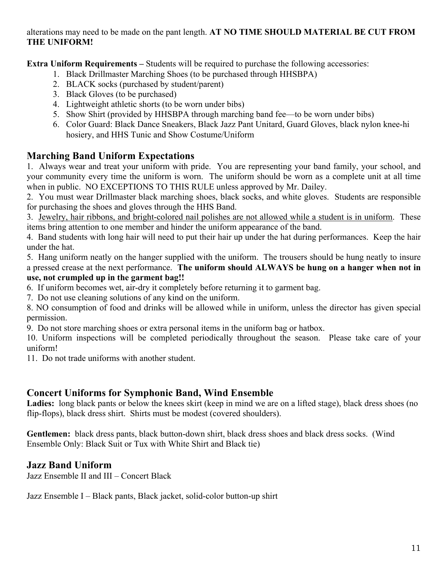alterations may need to be made on the pant length. **AT NO TIME SHOULD MATERIAL BE CUT FROM THE UNIFORM!**

**Extra Uniform Requirements** – Students will be required to purchase the following accessories:

- 1. Black Drillmaster Marching Shoes (to be purchased through HHSBPA)
- 2. BLACK socks (purchased by student/parent)
- 3. Black Gloves (to be purchased)
- 4. Lightweight athletic shorts (to be worn under bibs)
- 5. Show Shirt (provided by HHSBPA through marching band fee—to be worn under bibs)
- 6. Color Guard: Black Dance Sneakers, Black Jazz Pant Unitard, Guard Gloves, black nylon knee-hi hosiery, and HHS Tunic and Show Costume/Uniform

#### **Marching Band Uniform Expectations**

1. Always wear and treat your uniform with pride. You are representing your band family, your school, and your community every time the uniform is worn. The uniform should be worn as a complete unit at all time when in public. NO EXCEPTIONS TO THIS RULE unless approved by Mr. Dailey.

2. You must wear Drillmaster black marching shoes, black socks, and white gloves. Students are responsible for purchasing the shoes and gloves through the HHS Band.

3. Jewelry, hair ribbons, and bright-colored nail polishes are not allowed while a student is in uniform. These items bring attention to one member and hinder the uniform appearance of the band.

4. Band students with long hair will need to put their hair up under the hat during performances. Keep the hair under the hat.

5. Hang uniform neatly on the hanger supplied with the uniform. The trousers should be hung neatly to insure a pressed crease at the next performance. **The uniform should ALWAYS be hung on a hanger when not in use, not crumpled up in the garment bag!!**

6. If uniform becomes wet, air-dry it completely before returning it to garment bag.

7. Do not use cleaning solutions of any kind on the uniform.

8. NO consumption of food and drinks will be allowed while in uniform, unless the director has given special permission.

9. Do not store marching shoes or extra personal items in the uniform bag or hatbox.

10. Uniform inspections will be completed periodically throughout the season. Please take care of your uniform!

11. Do not trade uniforms with another student.

#### **Concert Uniforms for Symphonic Band, Wind Ensemble**

Ladies: long black pants or below the knees skirt (keep in mind we are on a lifted stage), black dress shoes (no flip-flops), black dress shirt. Shirts must be modest (covered shoulders).

**Gentlemen:** black dress pants, black button-down shirt, black dress shoes and black dress socks. (Wind Ensemble Only: Black Suit or Tux with White Shirt and Black tie)

#### **Jazz Band Uniform**

Jazz Ensemble II and III – Concert Black

Jazz Ensemble I – Black pants, Black jacket, solid-color button-up shirt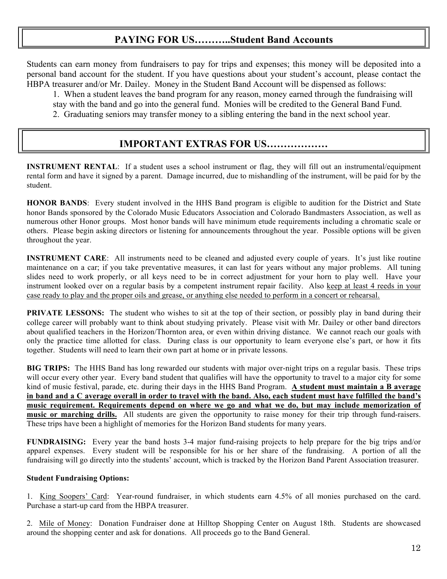## **PAYING FOR US………..Student Band Accounts**

Students can earn money from fundraisers to pay for trips and expenses; this money will be deposited into a personal band account for the student. If you have questions about your student's account, please contact the HBPA treasurer and/or Mr. Dailey. Money in the Student Band Account will be dispensed as follows:

1. When a student leaves the band program for any reason, money earned through the fundraising will stay with the band and go into the general fund. Monies will be credited to the General Band Fund. 2. Graduating seniors may transfer money to a sibling entering the band in the next school year.

## **IMPORTANT EXTRAS FOR US………………**

**INSTRUMENT RENTAL:** If a student uses a school instrument or flag, they will fill out an instrumental/equipment rental form and have it signed by a parent. Damage incurred, due to mishandling of the instrument, will be paid for by the student.

**HONOR BANDS**: Every student involved in the HHS Band program is eligible to audition for the District and State honor Bands sponsored by the Colorado Music Educators Association and Colorado Bandmasters Association, as well as numerous other Honor groups. Most honor bands will have minimum etude requirements including a chromatic scale or others. Please begin asking directors or listening for announcements throughout the year. Possible options will be given throughout the year.

**INSTRUMENT CARE:** All instruments need to be cleaned and adjusted every couple of years. It's just like routine maintenance on a car; if you take preventative measures, it can last for years without any major problems. All tuning slides need to work properly, or all keys need to be in correct adjustment for your horn to play well. Have your instrument looked over on a regular basis by a competent instrument repair facility. Also keep at least 4 reeds in your case ready to play and the proper oils and grease, or anything else needed to perform in a concert or rehearsal.

**PRIVATE LESSONS:** The student who wishes to sit at the top of their section, or possibly play in band during their college career will probably want to think about studying privately. Please visit with Mr. Dailey or other band directors about qualified teachers in the Horizon/Thornton area, or even within driving distance. We cannot reach our goals with only the practice time allotted for class. During class is our opportunity to learn everyone else's part, or how it fits together. Students will need to learn their own part at home or in private lessons.

**BIG TRIPS:** The HHS Band has long rewarded our students with major over-night trips on a regular basis. These trips will occur every other year. Every band student that qualifies will have the opportunity to travel to a major city for some kind of music festival, parade, etc. during their days in the HHS Band Program. **A student must maintain a B average in band and a C average overall in order to travel with the band. Also, each student must have fulfilled the band's music requirement. Requirements depend on where we go and what we do, but may include memorization of music or marching drills.** All students are given the opportunity to raise money for their trip through fund-raisers. These trips have been a highlight of memories for the Horizon Band students for many years.

**FUNDRAISING:** Every year the band hosts 3-4 major fund-raising projects to help prepare for the big trips and/or apparel expenses. Every student will be responsible for his or her share of the fundraising. A portion of all the fundraising will go directly into the students' account, which is tracked by the Horizon Band Parent Association treasurer.

#### **Student Fundraising Options:**

1.King Soopers' Card: Year-round fundraiser, in which students earn 4.5% of all monies purchased on the card. Purchase a start-up card from the HBPA treasurer.

2. Mile of Money: Donation Fundraiser done at Hilltop Shopping Center on August 18th. Students are showcased around the shopping center and ask for donations. All proceeds go to the Band General.